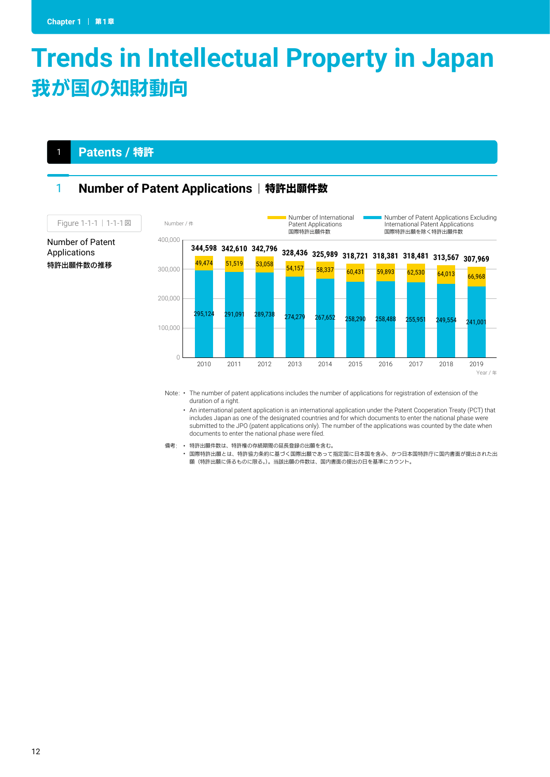# **Trends in Intellectual Property in Japan** 我が国の知財動向

### <sup>1</sup> **Patents /** 特許

Number of Patent Applications 特許出願件数の推移

### 1 **Number of Patent Applications | 特許出願件数**



Note: • The number of patent applications includes the number of applications for registration of extension of the duration of a right.

• An international patent application is an international application under the Patent Cooperation Treaty (PCT) that includes Japan as one of the designated countries and for which documents to enter the national phase were submitted to the JPO (patent applications only). The number of the applications was counted by the date when documents to enter the national phase were filed.  $1-\frac{1}{1-\frac{1}{1-\frac{1}{1-\frac{1}{1-\frac{1}{1-\frac{1}{1-\frac{1}{1-\frac{1}{1-\frac{1}{1-\frac{1}{1-\frac{1}{1-\frac{1}{1-\frac{1}{1-\frac{1}{1-\frac{1}{1-\frac{1}{1-\frac{1}{1-\frac{1}{1-\frac{1}{1-\frac{1}{1-\frac{1}{1-\frac{1}{1-\frac{1}{1-\frac{1}{1-\frac{1}{1-\frac{1}{1-\frac{1}{1-\frac{1}{1-\frac{1}{1-\frac{1}{1-\frac{1}{1-\frac{1}{1-\frac{1}{1-\frac{1}{1-\frac{1}{1-\frac{1}{1-\frac{$ 

備考: • 特許出願件数は、特許権の存続期間の延長登録の出願を含む。

• 国際特許出願とは、特許協力条約に基づく国際出願であって指定国に日本国を含み、かつ日本国特許庁に国内書面が提出された出 願(特許出願に係るものに限る。)。当該出願の件数は、国内書面の提出の日を基準にカウント。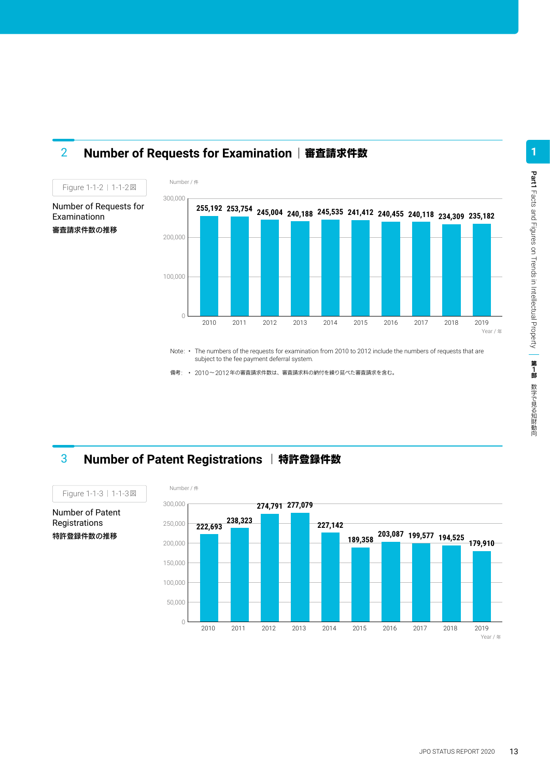

### **2 Number of Requests for Examination | 審査請求件数**

Number of Requests for Examinationn 審査請求件数の推移

Figure 1-1-2 | 1-1-2図

Note: • The numbers of the requests for examination from 2010 to 2012 include the numbers of requests that are subject to the fee payment deferral system.

備考: • 2010~2012年の審査請求件数は、審査請求料の納付を繰り延べた審査請求を含む。

### **3 Number of Patent Registrations | 特許登録件数**

0

300,000

Number / 件

200,000

100,000



Number of Patent Registrations 特許登録件数の推移

Part1

**1**

Facts and Figures on Trends in Intellectual Property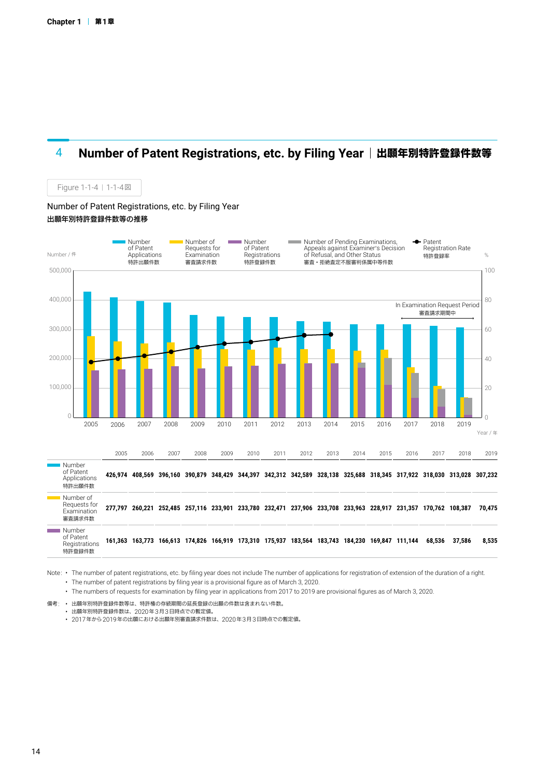Figure 1-1-4 | 1-1-4図

### 4 **Number of Patent Registrations, etc. by Filing Year** 出願年別特許登録件数等



Note: • The number of patent registrations, etc. by filing year does not include The number of applications for registration of extension of the duration of a right. • The number of patent registrations by filing year is a provisional figure as of March 3, 2020.

• The numbers of requests for examination by filing year in applications from 2017 to 2019 are provisional figures as of March 3, 2020.

備考: • 出願年別特許登録件数等は、特許権の存続期間の延長登録の出願の件数は含まれない件数。

• 出願年別特許登録件数は、2020年3月3日時点での暫定値。

• 2017年から2019年の出願における出願年別審査請求件数は、2020年3月3日時点での暫定値。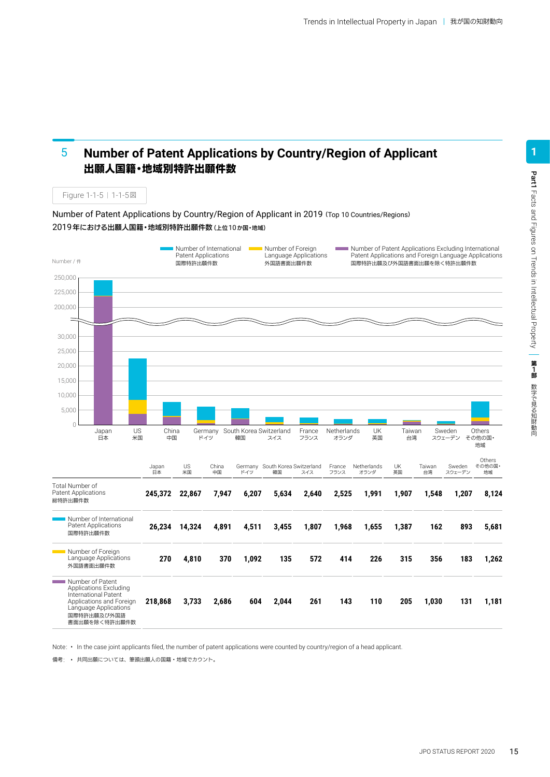#### **Number of Patent Applications by Country/Region of Applicant** 出願人国籍・地域別特許出願件数 5

Figure 1-1-5 | 1-1-5図

Number of Patent Applications by Country/Region of Applicant in 2019 (Top 10 Countries/Regions) 2019年における出願人国籍・地域別特許出願件数(上位10か国・地域)



Note: • In the case joint applicants filed, the number of patent applications were counted by country/region of a head applicant.

備考: • 共同出願については、筆頭出願人の国籍・地域でカウント。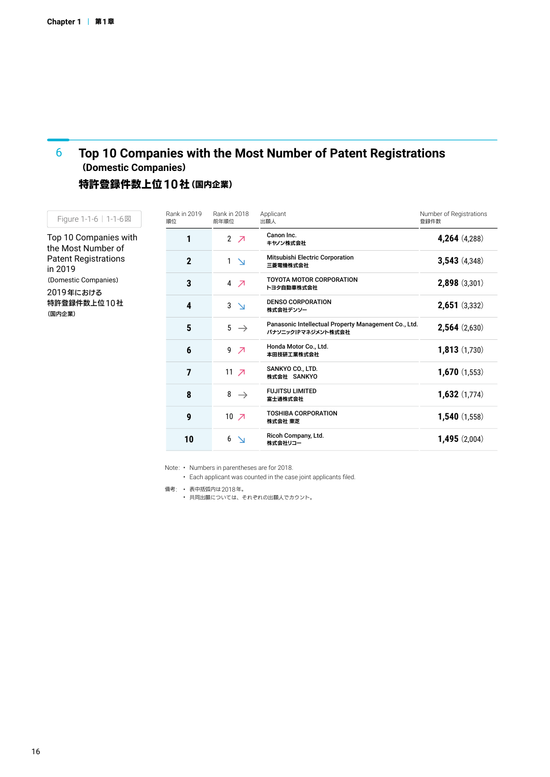#### **Top 10 Companies with the Most Number of Patent Registrations**  (**Domestic Companies**) 6

### 特許登録件数上位**10**社(国内企業)

| Figure 1-1-6   1-1-6図                                      | Rank in 2019<br>順位 | Rank in 2018<br>前年順位          | Applicant<br>出願人                                                           | Number of Registrations<br>登録件数 |
|------------------------------------------------------------|--------------------|-------------------------------|----------------------------------------------------------------------------|---------------------------------|
| Top 10 Companies with<br>the Most Number of                |                    | $2$ $7$                       | Canon Inc.<br>キヤノン株式会社                                                     | 4,264 (4,288)                   |
| <b>Patent Registrations</b><br>in 2019                     | $\mathbf 2$        | $\mathbf{1}$<br>$\Delta$      | Mitsubishi Electric Corporation<br>三菱電機株式会社                                | 3,543(4,348)                    |
| (Domestic Companies)<br>2019年における<br>特許登録件数上位10社<br>(国内企業) | 3                  | $4$ $7$                       | <b>TOYOTA MOTOR CORPORATION</b><br>トヨタ自動車株式会社                              | 2,898 (3,301)                   |
|                                                            | 4                  | 3<br>$\Delta$                 | <b>DENSO CORPORATION</b><br>株式会社デンソー                                       | $2,651$ (3,332)                 |
|                                                            | $5\phantom{.0}$    | $5 \rightarrow$               | Panasonic Intellectual Property Management Co., Ltd.<br>パナソニックIPマネジメント株式会社 | 2,564(2,630)                    |
|                                                            | $\boldsymbol{6}$   | 9<br>$\overline{\mathcal{A}}$ | Honda Motor Co., Ltd.<br>本田技研工業株式会社                                        | 1,813(1,730)                    |
|                                                            | 7                  | $11 \overline{7}$             | SANKYO CO., LTD.<br>株式会社 SANKYO                                            | 1,670(1,553)                    |
|                                                            | 8                  | 8<br>$\rightarrow$            | <b>FUJITSU LIMITED</b><br>富士通株式会社                                          | 1,632(1,774)                    |
|                                                            | 9                  | $10 \times$                   | <b>TOSHIBA CORPORATION</b><br>株式会社 東芝                                      | 1,540(1,558)                    |
|                                                            | 10                 | 6<br>$\Delta$                 | Ricoh Company, Ltd.<br>株式会社リコー                                             | 1,495(2,004)                    |

Note: • Numbers in parentheses are for 2018.

• Each applicant was counted in the case joint applicants filed.

備考: • 表中括弧内は2018年。 • 共同出願については、それぞれの出願人でカウント。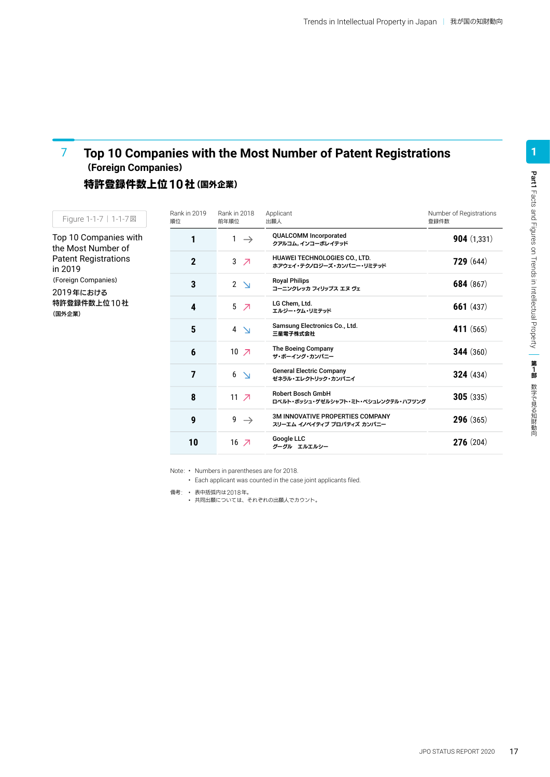### **Top 10 Companies with the Most Number of Patent Registrations** (**Foreign Companies**) 7

### 特許登録件数上位**10**社(国外企業)

| Figure 1-1-7   1-1-7 図                                      | Rank in 2019<br>順位 | Rank in 2018<br>前年順位          | Applicant<br>出願人                                                      | Number of Registrations<br>登録件数 |
|-------------------------------------------------------------|--------------------|-------------------------------|-----------------------------------------------------------------------|---------------------------------|
| Top 10 Companies with<br>the Most Number of                 |                    | $\mathbf{1}$<br>$\rightarrow$ | <b>QUALCOMM Incorporated</b><br>クアルコム, インコーポレイテッド                     | 904(1,331)                      |
| <b>Patent Registrations</b><br>in 2019                      | $\mathbf{2}$       | 3<br>$\overline{\mathcal{L}}$ | HUAWEI TECHNOLOGIES CO., LTD.<br>ホアウェイ・テクノロジーズ・カンパニー・リミテッド            | 729(644)                        |
| (Foreign Companies)<br>2019年における<br>特許登録件数上位 10 社<br>(国外企業) | 3                  | $2 \geq$                      | <b>Royal Philips</b><br>コーニンクレッカ フィリップス エヌ ヴェ                         | 684 (867)                       |
|                                                             | 4                  | 5<br>$\overline{\mathcal{L}}$ | LG Chem, Ltd.<br>エルジー・ケム・リミテッド                                        | 661 $(437)$                     |
|                                                             | 5                  | $4 \geq$                      | Samsung Electronics Co., Ltd.<br>三星電子株式会社                             | 411 (565)                       |
|                                                             | 6                  | $10 \times$                   | The Boeing Company<br>ザ・ボーイング・カンパニー                                   | <b>344</b> (360)                |
|                                                             | $\overline{7}$     | 6<br>$\Delta$                 | <b>General Electric Company</b><br>ゼネラル・エレクトリック・カンパニイ                 | 324(434)                        |
|                                                             | 8                  | 11 $\overline{Z}$             | <b>Robert Bosch GmbH</b><br>ロベルト・ボッシュ・ゲゼルシャフト・ミト・ベシュレンクテル・ハフツング       | 305(335)                        |
|                                                             | $\boldsymbol{9}$   | 9<br>$\rightarrow$            | <b>3M INNOVATIVE PROPERTIES COMPANY</b><br>スリーエム イノベイティブ プロパティズ カンパニー | 296(365)                        |
|                                                             | 10                 | $16$ $\neg$                   | Google LLC<br>グーグル エルエルシー                                             | 276(204)                        |

Note: • Numbers in parentheses are for 2018.

• Each applicant was counted in the case joint applicants filed.

備考: • 表中括弧内は2018年。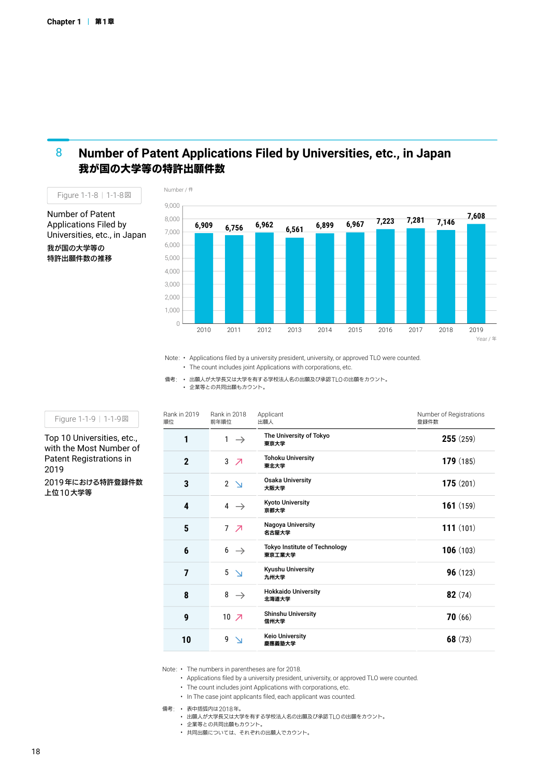#### **Number of Patent Applications Filed by Universities, etc., in Japan** 我が国の大学等の特許出願件数 8



Number of Patent Applications Filed by Universities, etc., in Japan 我が国の大学等の 特許出願件数の推移



Note: • Applications filed by a university president, university, or approved TLO were counted. • The count includes joint Applications with corporations, etc.

備考: • 出願人が大学長又は大学を有する学校法人名の出願及び承認TLOの出願をカウント。 • 企業等との共同出願もカウント。

Figure 1-1-9 | 1-1-9図

Top 10 Universities, etc., with the Most Number of Patent Registrations in 2019 2019年における特許登録件数 上位10大学等

| <b>Rank in 2019</b><br>順位 | <b>Rank in 2018</b><br>前年順位   | Applicant<br>出願人                               | Number of Registrations<br>登録件数 |
|---------------------------|-------------------------------|------------------------------------------------|---------------------------------|
| 1                         | $\mathbf{1}$<br>$\rightarrow$ | The University of Tokyo<br>東京大学                | 255(259)                        |
| $\mathbf{2}$              | 3<br>$\overline{\phantom{a}}$ | <b>Tohoku University</b><br>東北大学               | 179(185)                        |
| 3                         | $2 \geq$                      | <b>Osaka University</b><br>大阪大学                | 175(201)                        |
| 4                         | $4 \rightarrow$               | <b>Kyoto University</b><br>京都大学                | <b>161</b> $(159)$              |
| 5                         | 7 <sub>7</sub>                | Nagoya University<br>名古屋大学                     | 111(101)                        |
| 6                         | $6 \rightarrow$               | <b>Tokyo Institute of Technology</b><br>東京工業大学 | 106(103)                        |
| $\overline{7}$            | 5<br>$\Delta$                 | Kyushu University<br>九州大学                      | 96(123)                         |
| 8                         | 8<br>$\rightarrow$            | <b>Hokkaido University</b><br>北海道大学            | 82(74)                          |
| 9                         | $10 \times$                   | <b>Shinshu University</b><br>信州大学              | 70(66)                          |
| 10                        | 9                             | <b>Keio University</b><br>慶應義塾大学               | 68 $(73)$                       |

Note: • The numbers in parentheses are for 2018.

• Applications filed by a university president, university, or approved TLO were counted.

• The count includes joint Applications with corporations, etc.

• In The case joint applicants filed, each applicant was counted.

備考: • 表中括弧内は2018年。

• 出願人が大学長又は大学を有する学校法人名の出願及び承認TLOの出願をカウント。

• 企業等との共同出願もカウント。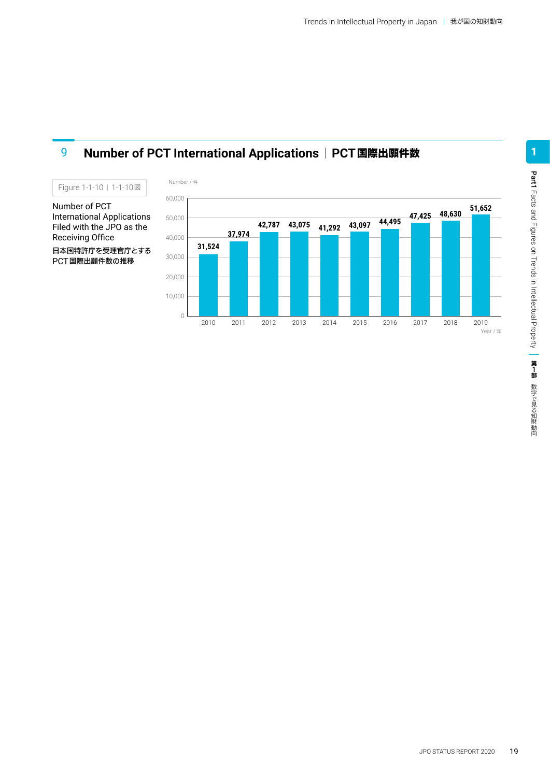

### **9 Number of PCT International Applications | PCT国際出願件数**

Number of PCT International Applications Filed with the JPO as the Receiving Office 日本国特許庁を受理官庁とする PCT国際出願件数の推移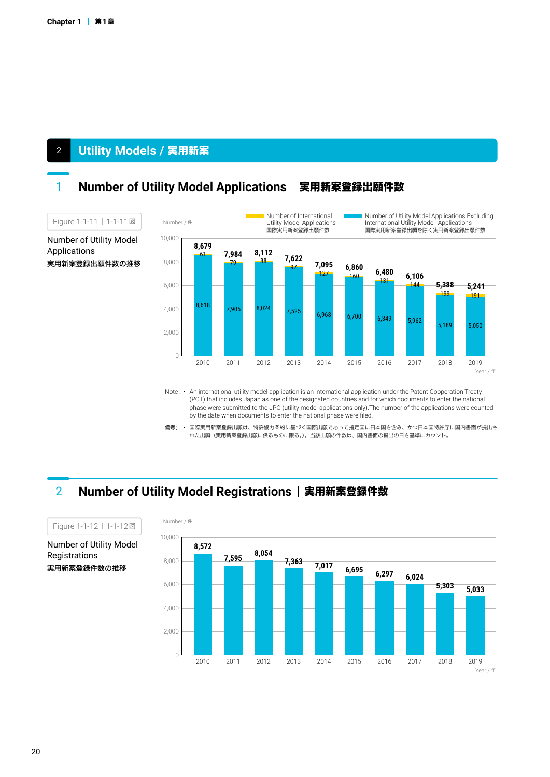### <sup>2</sup> **Utility Models /** 実用新案

### 1 **Number of Utility Model Applications | 実用新案登録出願件数**



Note: • An international utility model application is an international application under the Patent Cooperation Treaty (PCT) that includes Japan as one of the designated countries and for which documents to enter the national phase were submitted to the JPO (utility model applications only).The number of the applications were counted<br>by the date when documents to enter the national phase were filed. by the date when documents to enter the national phase were filed.

備考: • 国際実用新案登録出願は、特許協力条約に基づく国際出願であって指定国に日本国を含み、かつ日本国特許庁に国内書面が提出さ れた出願(実用新案登録出願に係るものに限る。)。当該出願の件数は、国内書面の提出の日を基準にカウント。

### **2 Number of Utility Model Registrations | 実用新案登録件数**



Number of Utility Model Registrations 実用新案登録件数の推移

Figure 1-1-12 | 1-1-12図

Applications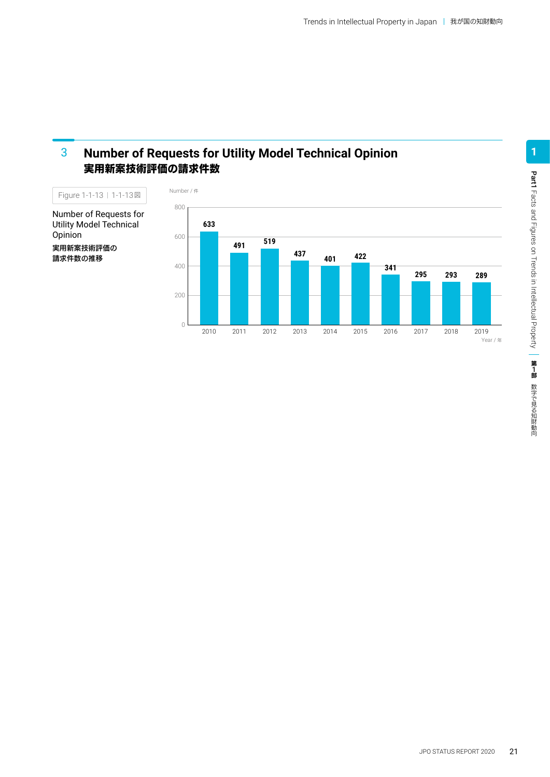#### **Number of Requests for Utility Model Technical Opinion** 実用新案技術評価の請求件数 3

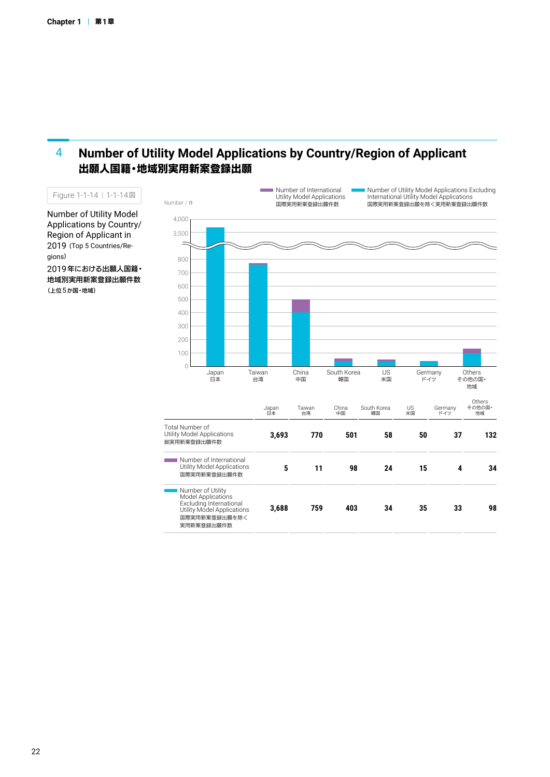#### **Number of Utility Model Applications by Country/Region of Applicant** 出願人国籍・地域別実用新案登録出願 4



Applications by Country/ Region of Applicant in 2019 (Top 5 Countries/Regions) 2019年における出願人国籍・ 地域別実用新案登録出願件数 (上位5か国・地域)

Number of Utility Model

Figure 1-1-14 1-1-14図

22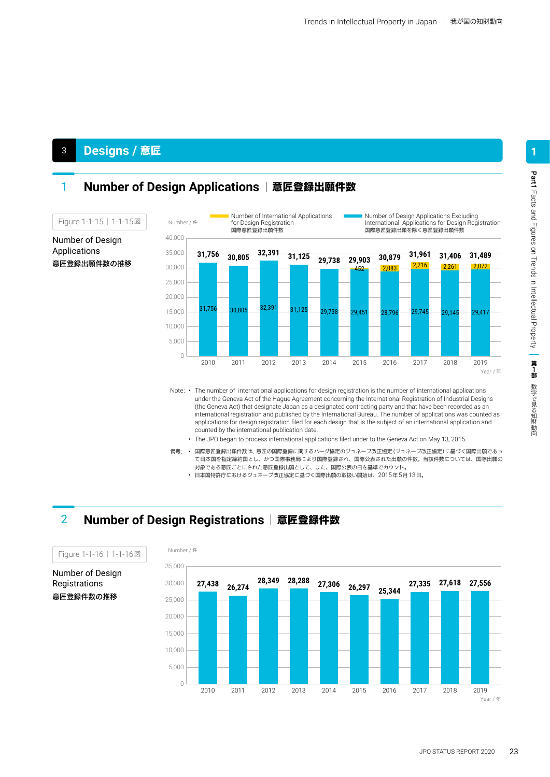### <sup>3</sup> **Designs /** 意匠

### **1 Number of Design Applications | 意匠登録出願件数**



- (the Geneva Act) that designate Japan as a designated contracting party and that have been recorded as an international registration and published by the International Bureau. The number of applications was counted as applications for design registration filed for each design that is the subject of an international application and counted by the international publication date.
	- The JPO began to process international applications filed under to the Geneva Act on May 13, 2015.
- 備考: 国際意匠登録出願件数は、意匠の国際登録に関するハーグ協定のジュネーブ改正協定(ジュネーブ改正協定)に基づく国際出願であっ て日本国を指定締約国とし、かつ国際事務局により国際登録され、国際公表された出願の件数。当該件数については、国際出願の 対象である意匠ごとにされた意匠登録出願として、また、国際公表の日を基準でカウント。
	- 日本国特許庁におけるジュネーブ改正協定に基づく国際出願の取扱い開始は、2015年5月13日。

### 2 **Number of Design Registrations** 意匠登録件数



Figure 1-1-16 | 1-1-16図

Number of Design Registrations 意匠登録件数の推移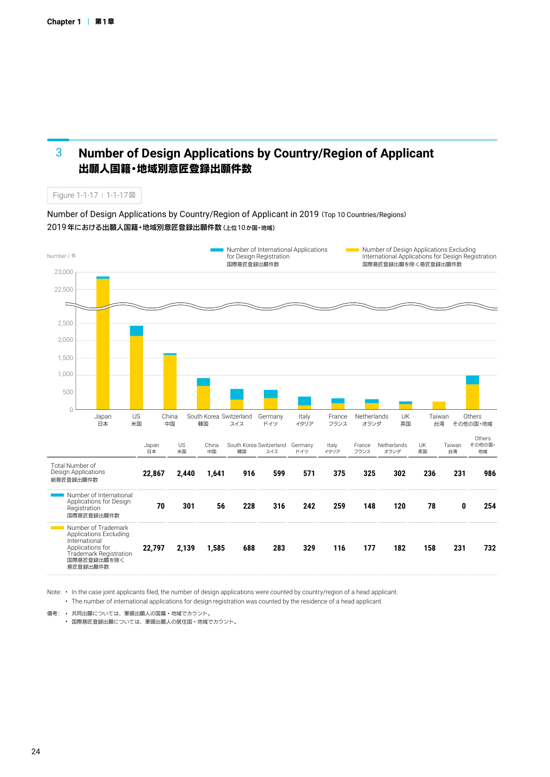#### **Number of Design Applications by Country/Region of Applicant** 出願人国籍・地域別意匠登録出願件数 3

Figure 1-1-17 | 1-1-17図

Number of Design Applications by Country/Region of Applicant in 2019(Top 10 Countries/Regions) 2019年における出願人国籍・地域別意匠登録出願件数(上位10か国・地域)



Note: • In the case joint applicants filed, the number of design applications were counted by country/region of a head applicant. • The number of international applications for design registration was counted by the residence of a head applicant.

備考: • 共同出願については、筆頭出願人の国籍・地域でカウント。

• 国際意匠登録出願については、筆頭出願人の居住国・地域でカウント。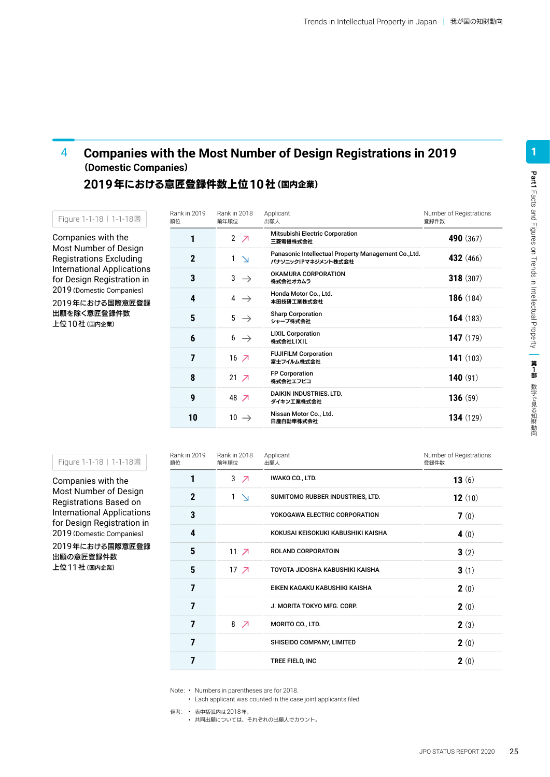#### **Companies with the Most Number of Design Registrations in 2019** (**Domestic Companies**) 4

**2019**年における意匠登録件数上位**10**社(国内企業)

Companies with the Most Number of Design Registrations Excluding International Applications for Design Registration in 2019(Domestic Companies)

Figure 1-1-18 | 1-1-18図

2019年における国際意匠登録 出願を除く意匠登録件数 上位10社(国内企業)

| Rank in 2019<br>順位 | Rank in 2018<br>前年順位     | Applicant<br>出願人                                                           | Number of Registrations<br>登録件数 |
|--------------------|--------------------------|----------------------------------------------------------------------------|---------------------------------|
| 1                  | $2$ $7$                  | <b>Mitsubishi Electric Corporation</b><br>三菱電機株式会社                         | 490 (367)                       |
| $\mathbf 2$        | $\mathbf{1}$<br>$\Delta$ | Panasonic Intellectual Property Management Co., Ltd.<br>パナソニックIPマネジメント株式会社 | <b>432</b> (466)                |
| 3                  | $3 \rightarrow$          | OKAMURA CORPORATION<br>株式会社オカムラ                                            | 318(307)                        |
| 4                  | 4<br>$\rightarrow$       | Honda Motor Co., Ltd.<br>本田技研工業株式会社                                        | <b>186</b> $(184)$              |
| 5                  | $5 \rightarrow$          | <b>Sharp Corporation</b><br>シャープ株式会社                                       | 164(183)                        |
| 6                  | $6 \rightarrow$          | <b>LIXIL Corporation</b><br>株式会社LIXIL                                      | <b>147</b> $(179)$              |
| 7                  | $16$ $\overline{7}$      | <b>FUJIFILM Corporation</b><br>富士フイルム株式会社                                  | 141(103)                        |
| 8                  | $21 \overline{7}$        | <b>FP Corporation</b><br>株式会社エフピコ                                          | 140(91)                         |
| 9                  | 48 入                     | <b>DAIKIN INDUSTRIES, LTD.</b><br>ダイキン工業株式会社                               | 136(59)                         |
| 10                 | $10 \rightarrow$         | Nissan Motor Co., Ltd.<br>日産自動車株式会社                                        | 134(129)                        |

| Figure 1-1-18   1-1-18図 |  |  |  |  |
|-------------------------|--|--|--|--|
|-------------------------|--|--|--|--|

Companies with the Most Number of Design Registrations Based on International Applications for Design Registration in 2019(Domestic Companies)

2019年における国際意匠登録 出願の意匠登録件数 上位11社(国内企業)

| Rank in 2019<br>順位         | Rank in 2018<br>前年順位 | Applicant<br>出願人                   | Number of Registrations<br>登録件数 |  |
|----------------------------|----------------------|------------------------------------|---------------------------------|--|
| 1                          | $3 \times 7$         | IWAKO CO., LTD.                    | 13(6)                           |  |
| $\boldsymbol{\mathcal{P}}$ | $1 \Delta$           | SUMITOMO RUBBER INDUSTRIES, LTD.   | 12 $(10)$                       |  |
| 3                          |                      | YOKOGAWA ELECTRIC CORPORATION      | 7(0)                            |  |
| 4                          |                      | KOKUSAI KEISOKUKI KABUSHIKI KAISHA | 4 $(0)$                         |  |
| 5                          | $11 \overline{7}$    | <b>ROLAND CORPORATOIN</b>          | 3(2)                            |  |
| 5                          | 17 <sub>7</sub>      | TOYOTA JIDOSHA KABUSHIKI KAISHA    | 3(1)                            |  |
| 7                          |                      | EIKEN KAGAKU KABUSHIKI KAISHA      | 2(0)                            |  |
| 7                          |                      | J. MORITA TOKYO MFG. CORP.         | 2(0)                            |  |
| 7                          | 8 $\sqrt{ }$         | MORITO CO., LTD.                   | 2(3)                            |  |
| 7                          |                      | SHISEIDO COMPANY, LIMITED          | 2(0)                            |  |
| 7                          |                      | TREE FIELD, INC                    | 2(0)                            |  |

Note: • Numbers in parentheses are for 2018.

• Each applicant was counted in the case joint applicants filed.

備考: • 表中括弧内は2018年。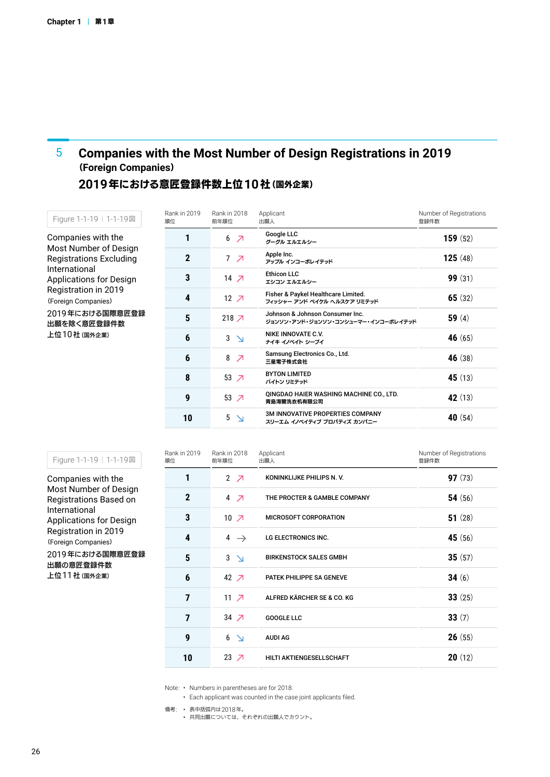#### **Companies with the Most Number of Design Registrations in 2019**  (**Foreign Companies**) 5

### **2019**年における意匠登録件数上位**10**社(国外企業)

Companies with the Most Number of Design Registrations Excluding International Applications for Design Registration in 2019 (Foreign Companies) 2019年における国際意匠登録 Figure 1-1-19 | 1-1-19図

出願を除く意匠登録件数 上位10社(国外企業)

| Google LLC<br>1<br><b>159</b> $(52)$<br>6 刁<br>グーグル エルエルシー<br>Apple Inc.<br>$\mathbf{2}$<br>7 <sub>7</sub><br><b>125</b> (48)<br>アップル インコーポレイテッド<br><b>Ethicon LLC</b><br>3<br><b>99</b> $(31)$<br>14 $\n 7$<br>エシコン エルエルシー |  |
|-----------------------------------------------------------------------------------------------------------------------------------------------------------------------------------------------------------------------------|--|
|                                                                                                                                                                                                                             |  |
|                                                                                                                                                                                                                             |  |
|                                                                                                                                                                                                                             |  |
| Fisher & Paykel Healthcare Limited.<br>4<br>$12 \overline{7}$<br>65 $(32)$<br>フィッシャー アンド ペイケル ヘルスケア リミテッド                                                                                                                   |  |
| Johnson & Johnson Consumer Inc.<br>5<br>218 $\n  7$<br>59 $(4)$<br>ジョンソン・アンド・ジョンソン・コンシューマー・インコーポレイテッド                                                                                                                       |  |
| NIKE INNOVATE C.V.<br>6<br>3<br>46 $(65)$<br>$\Delta$<br>ナイキ イノベイト シーブイ                                                                                                                                                     |  |
| Samsung Electronics Co., Ltd.<br>6<br>8<br>46(38)<br>↗<br>三星電子株式会社                                                                                                                                                          |  |
| <b>BYTON LIMITED</b><br>8<br>53 $\overline{7}$<br>45 $(13)$<br>バイトン リミテッド                                                                                                                                                   |  |
| QINGDAO HAIER WASHING MACHINE CO., LTD.<br>9<br>53 $\overline{7}$<br>42 $(13)$<br>青島海爾洗衣机有限公司                                                                                                                               |  |
| <b>3M INNOVATIVE PROPERTIES COMPANY</b><br>10<br>5<br>40 $(54)$<br>スリーエム イノベイティブ プロパティズ カンパニー                                                                                                                               |  |

| Companies with the     |
|------------------------|
| Most Number of Design  |
| Registrations Based on |
| . 1                    |

Figure 1-1-19 | 1-1-19図

International Applications for Design Registration in 2019 (Foreign Companies)

2019年における国際意匠登録 出願の意匠登録件数 上位11社(国外企業)

| Rank in 2019<br>順位 | Rank in 2018<br>Applicant<br>出願人<br>前年順位 |                                 | Number of Registrations<br>登録件数 |  |  |
|--------------------|------------------------------------------|---------------------------------|---------------------------------|--|--|
| 1                  | 2 $\overline{Z}$                         | KONINKLIJKE PHILIPS N.V.        | 97(73)                          |  |  |
| $\mathbf 2$        | $4 \times$                               | THE PROCTER & GAMBLE COMPANY    | 54 $(56)$                       |  |  |
| 3                  | 10 <sub>7</sub>                          | <b>MICROSOFT CORPORATION</b>    | 51 $(28)$                       |  |  |
| 4                  | 4 $\rightarrow$                          | LG ELECTRONICS INC.             | 45 $(56)$                       |  |  |
| 5                  | 3 <sup>1</sup>                           | <b>BIRKENSTOCK SALES GMBH</b>   | 35(57)                          |  |  |
| 6                  | 42 7                                     | <b>PATEK PHILIPPE SA GENEVE</b> | 34 $(6)$                        |  |  |
| 7                  | 11 $\overline{z}$                        | ALFRED KÄRCHER SE & CO. KG      | 33(25)                          |  |  |
| 7                  | $34 \times$                              | <b>GOOGLE LLC</b>               | 33(7)                           |  |  |
| 9                  | $6\sqrt{ }$                              | <b>AUDI AG</b>                  | 26(55)                          |  |  |
| 10                 | 23 $\overline{7}$                        | HILTI AKTIENGESELLSCHAFT        | 20(12)                          |  |  |

Note: • Numbers in parentheses are for 2018.

• Each applicant was counted in the case joint applicants filed.

備考: • 表中括弧内は2018年。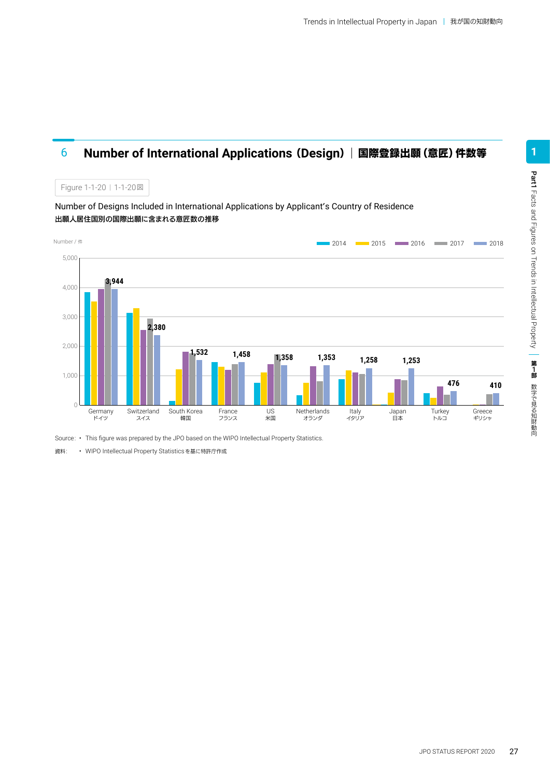### 6 **Number of International Applications** (**Design**)国際登録出願(意匠)件数等



Source: • This figure was prepared by the JPO based on the WIPO Intellectual Property Statistics.

資料: • WIPO Intellectual Property Statisticsを基に特許庁作成

Figure 1-1-20 | 1-1-20 図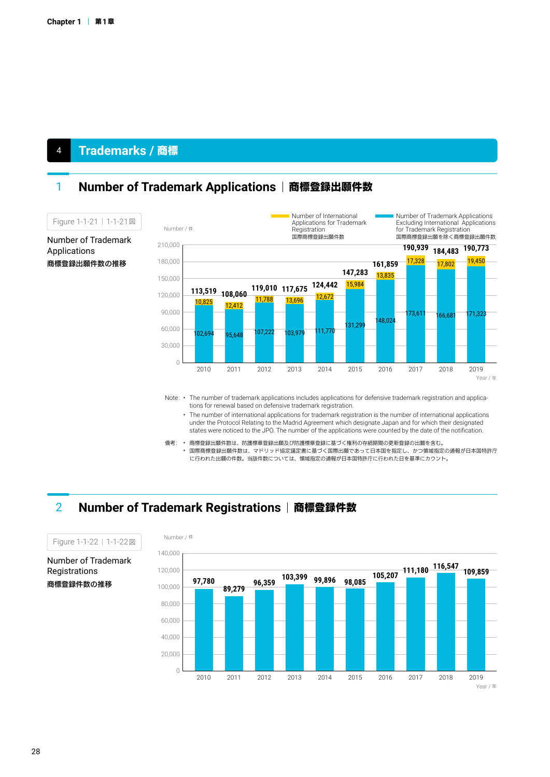### <sup>4</sup> **Trademarks /** 商標

### **1 Number of Trademark Applications | 商標登録出願件数**



Note: • The number of trademark applications includes applications for defensive trademark registration and applications for renewal based on defensive trademark registration.

- The number of international applications for trademark registration is the number of international applications under the Protocol Relating to the Madrid Agreement which designate Japan and for which their designated states were noticed to the JPO. The number of the applications were counted by the date of the notification.
- 備考: 商標登録出願件数は、防護標章登録出願及び防護標章登録に基づく権利の存続期間の更新登録の出願を含む。 • 国際商標登録出願件数は、マドリッド協定議定書に基づく国際出願であって日本国を指定し、かつ領域指定の通報が日本国特許庁 に行われた出願の件数。当該件数については、領域指定の通報が日本国特許庁に行われた日を基準にカウント。

### **2 Number of Trademark Registrations | 商標登録件数**



Number of Trademark Registrations 商標登録件数の推移

Figure 1-1-22 | 1-1-22図

#### Number of Trademark Applications

商標登録出願件数の推移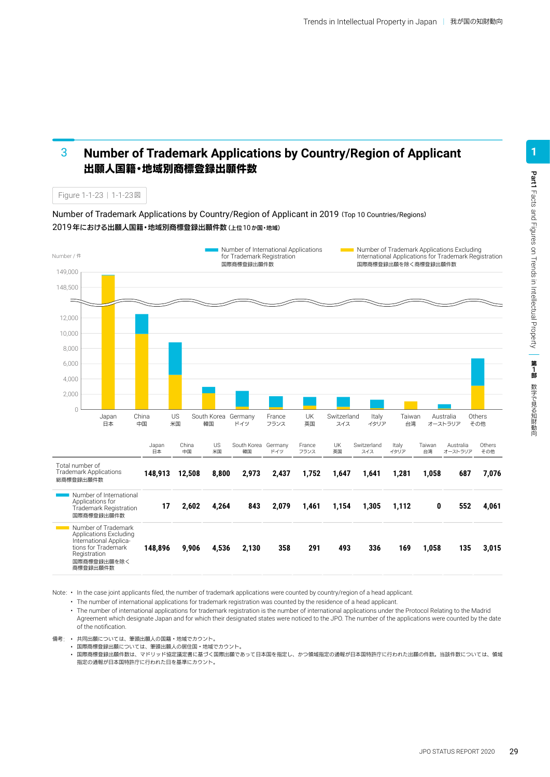#### **Number of Trademark Applications by Country/Region of Applicant** 出願人国籍・地域別商標登録出願件数 3

Figure 1-1-23 | 1-1-23図

Number of Trademark Applications by Country/Region of Applicant in 2019(Top 10 Countries/Regions) 2019年における出願人国籍・地域別商標登録出願件数(上位10か国・地域)



Note: • In the case joint applicants filed, the number of trademark applications were counted by country/region of a head applicant.

• The number of international applications for trademark registration was counted by the residence of a head applicant.

• The number of international applications for trademark registration is the number of international applications under the Protocol Relating to the Madrid Agreement which designate Japan and for which their designated states were noticed to the JPO. The number of the applications were counted by the date of the notification.

備考: • 共同出願については、筆頭出願人の国籍・地域でカウント。

• 国際商標登録出願については、筆頭出願人の居住国・地域でカウント。

• 国際商標登録出願件数は、マドリッド協定議定書に基づく国際出願であって日本国を指定し、かつ領域指定の通報が日本国特許庁に行われた出願の件数。当該件数については、領域 指定の通報が日本国特許庁に行われた日を基準にカウント。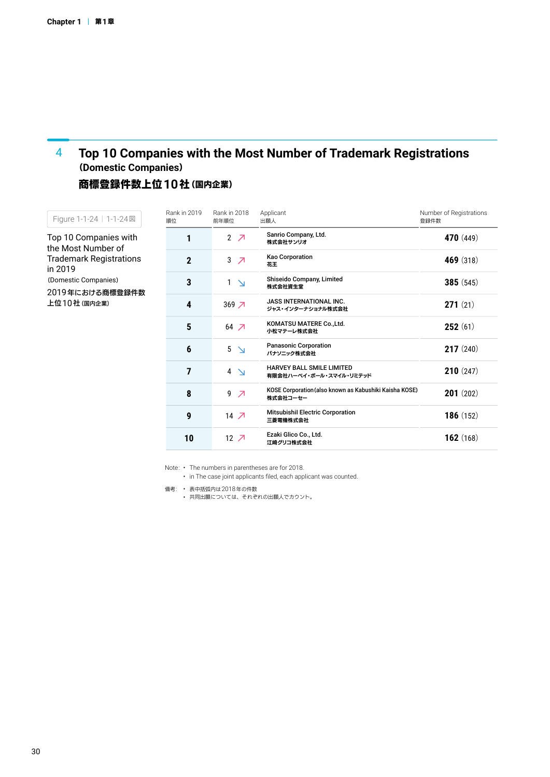#### **Top 10 Companies with the Most Number of Trademark Registrations** (**Domestic Companies**) 4

### 商標登録件数上位**10**社(国内企業)

| Figure 1-1-24   1-1-24図                                                                      | Rank in 2019<br>順位 | Rank in 2018<br>前年順位          | Applicant<br>出願人                                                   | Number of Registrations<br>登録件数 |
|----------------------------------------------------------------------------------------------|--------------------|-------------------------------|--------------------------------------------------------------------|---------------------------------|
| Top 10 Companies with<br>the Most Number of                                                  |                    | 2 $\overline{\phantom{a}}$    | Sanrio Company, Ltd.<br>株式会社サンリオ                                   | <b>470</b> (449)                |
| Trademark Registrations<br>in 2019<br>(Domestic Companies)<br>2019年における商標登録件数<br>上位10社(国内企業) | $\mathbf 2$        | 3<br>$\overline{\phantom{a}}$ | <b>Kao Corporation</b><br>花王                                       | <b>469</b> (318)                |
|                                                                                              | 3                  | 1<br>$\Delta$                 | Shiseido Company, Limited<br>株式会社資生堂                               | 385(545)                        |
|                                                                                              | 4                  | $369\overline{7}$             | <b>JASS INTERNATIONAL INC.</b><br>ジャス・インターナショナル株式会社                | 271(21)                         |
|                                                                                              | $5\phantom{.0}$    | $64$ $\neg$                   | KOMATSU MATERE Co., Ltd.<br>小松マテーレ株式会社                             | 252(61)                         |
|                                                                                              | 6                  | $5 \searrow$                  | <b>Panasonic Corporation</b><br>パナソニック株式会社                         | 217(240)                        |
|                                                                                              | 7                  | $4 \geq$                      | <b>HARVEY BALL SMILE LIMITED</b><br>有限会社ハーベイ・ボール・スマイル・リミテッド        | 210(247)                        |
|                                                                                              | 8                  | 9<br>$\overline{\phantom{a}}$ | KOSE Corporation (also known as Kabushiki Kaisha KOSE)<br>株式会社コーセー | 201(202)                        |
|                                                                                              | 9                  | $14 \overline{7}$             | <b>Mitsubishil Electric Corporation</b><br>三菱電機株式会社                | 186(152)                        |

Ezaki Glico Co., Ltd. 江崎グリコ株式会社

**162** (168)

Note: • The numbers in parentheses are for 2018.

 $12 \overline{7}$ 

• in The case joint applicants filed, each applicant was counted.

備考: • 表中括弧内は2018年の件数

**10**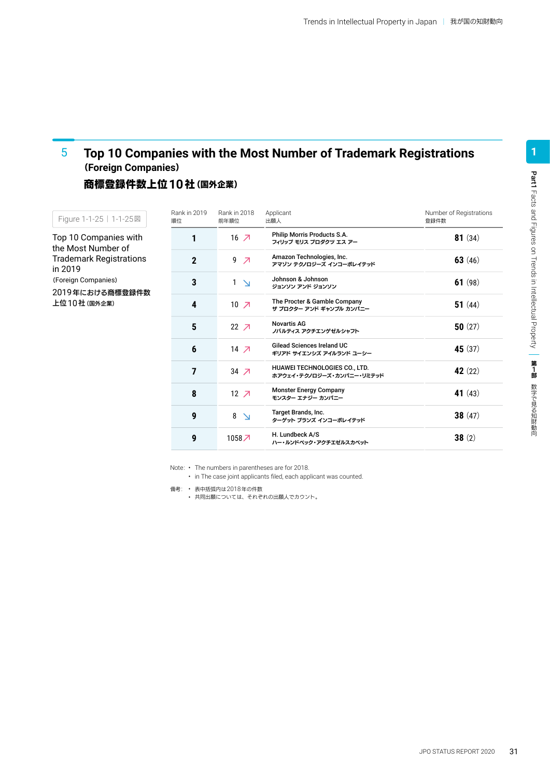#### **Top 10 Companies with the Most Number of Trademark Registrations** (**Foreign Companies**) 5

### 商標登録件数上位**10**社(国外企業)

| Figure 1-1-25   1-1-25図                     | Rank in 2019<br>順位         | Rank in 2018<br>前年順位          | Applicant<br>出願人                                                  | Number of Registrations<br>登録件数 |
|---------------------------------------------|----------------------------|-------------------------------|-------------------------------------------------------------------|---------------------------------|
| Top 10 Companies with<br>the Most Number of | 1                          | $16$ $\overline{7}$           | Philip Morris Products S.A.<br>フィリップ モリス プロダクツ エス アー              | <b>81</b> $(34)$                |
| <b>Trademark Registrations</b><br>in 2019   | $\boldsymbol{\mathcal{P}}$ | 9<br>$\overline{\phantom{a}}$ | Amazon Technologies, Inc.<br>アマゾン テクノロジーズ インコーポレイテッド              | 63 $(46)$                       |
| (Foreign Companies)<br>2019年における商標登録件数      | 3                          | $\mathbf{1}$<br>$\Delta$      | Johnson & Johnson<br>ジョンソン アンド ジョンソン                              | 61 $(98)$                       |
| 上位10社(国外企業)                                 | 4                          | $10 \times$                   | The Procter & Gamble Company<br>ザ プロクター アンド ギャンブル カンパニー           | 51 $(44)$                       |
|                                             | 5                          | $22 \overline{7}$             | <b>Novartis AG</b><br>ノバルティス アクチエンゲゼルシャフト                         | 50 $(27)$                       |
|                                             | 6                          | $14 \times$                   | <b>Gilead Sciences Ireland UC</b><br>ギリアド サイエンシズ アイルランド ユーシー      | 45 $(37)$                       |
|                                             | 7                          | $34 \times$                   | <b>HUAWEI TECHNOLOGIES CO., LTD.</b><br>ホアウェイ・テクノロジーズ・カンパニー・リミテッド | 42 $(22)$                       |
|                                             | 8                          | $12 \overline{7}$             | <b>Monster Energy Company</b><br>モンスター エナジー カンパニー                 | 41 $(43)$                       |
|                                             | 9                          | 8<br>$\Delta$                 | Target Brands, Inc.<br>ターゲット ブランズ インコーポレイテッド                      | 38(47)                          |
|                                             | 9                          | 1058 7                        | H. Lundbeck A/S<br>ハー・ルンドベック・アクチエゼルスカベット                          | 38(2)                           |

Note: • The numbers in parentheses are for 2018.

• in The case joint applicants filed, each applicant was counted.

備考: • 表中括弧内は2018年の件数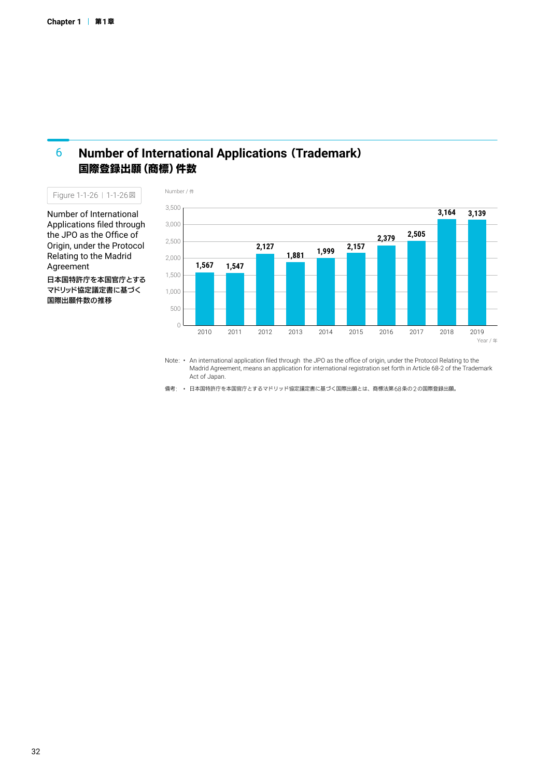#### **Number of International Applications** (**Trademark**) 国際登録出願(商標)件数 6

Figure 1-1-26 | 1-1-26図

Number of International Applications filed through the JPO as the Office of Origin, under the Protocol Relating to the Madrid Agreement

日本国特許庁を本国官庁とする マドリッド協定議定書に基づく 国際出願件数の推移



Note: • An international application filed through the JPO as the office of origin, under the Protocol Relating to the Madrid Agreement, means an application for international registration set forth in Article 68-2 of the Trademark Act of Japan.

備考: • 日本国特許庁を本国官庁とするマドリッド協定議定書に基づく国際出願とは、商標法第68条の2の国際登録出願。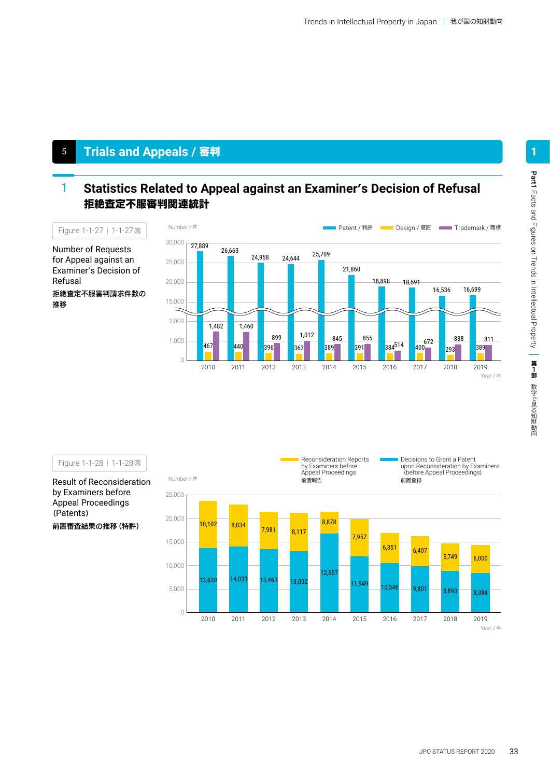## <sup>5</sup> **Trials and Appeals /** 審判

#### **Statistics Related to Appeal against an Examiner**'**s Decision of Refusal** 拒絶査定不服審判関連統計 1



Number of Requests for Appeal against an Examiner's Decision of Refusal

拒絶査定不服審判請求件数の 推移

Figure 1-1-28 | 1-1-28図

Result of Reconsideration by Examiners before Appeal Proceedings (Patents)



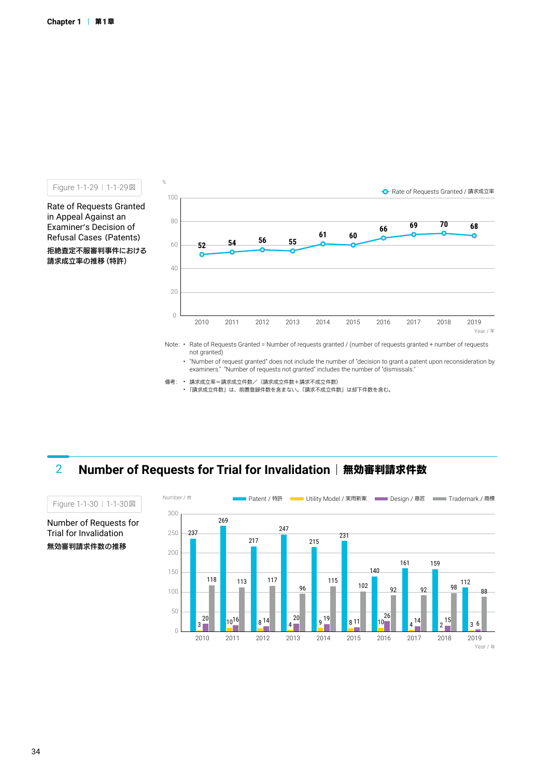Figure 1-1-29 | 1-1-29図 %

Rate of Requests Granted in Appeal Against an Examiner's Decision of Refusal Cases (Patents) 拒絶査定不服審判事件における 請求成立率の推移(特許)



Note: • Rate of Requests Granted = Number of requests granted / (number of requests granted + number of requests not granted)

• "Number of request granted" does not include the number of "decision to grant a patent upon reconsideration by examiners." "Number of requests not granted" includes the number of "dismissals." <sub>y</sub> y

- 備考: 請求成立率=請求成立件数/(請求成立件数+請求不成立件数)
	- <sub>前55</sub>03立午 前5503立11302 間5503立11307 間5510立11307<br>• 「請求成立件数」は、前置登録件数を含まない。「請求不成立件数」は却下件数を含む。

### **2 Number of Requests for Trial for Invalidation | 無効審判請求件数**



Number of Requests for Trial for Invalidation 無効審判請求件数の推移

Figure 1-1-30 | 1-1-30図

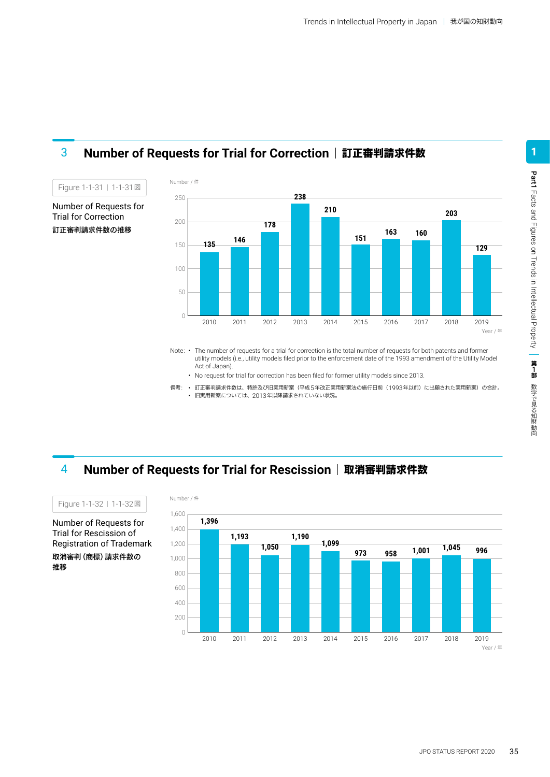

### 3 **Number of Requests for Trial for Correction** 訂正審判請求件数

Note: • The number of requests for a trial for correction is the total number of requests for both patents and former utility models (i.e., utility models filed prior to the enforcement date of the 1993 amendment of the Utility Model Act of Japan).

• No request for trial for correction has been filed for former utility models since 2013.

備考: • 訂正審判請求件数は、特許及び旧実用新案(平成5年改正実用新案法の施行日前(1993年以前)に出願された実用新案)の合計。 • 旧実用新案については、2013年以降請求されていない状況。

4 **Number of Requests for Trial for Rescission** 取消審判請求件数



Number of Requests for Trial for Rescission of Registration of Trademark 取消審判(商標)請求件数の 推移 Figure 1-1-32 | 1-1-32図

JPO STATUS REPORT 2020 35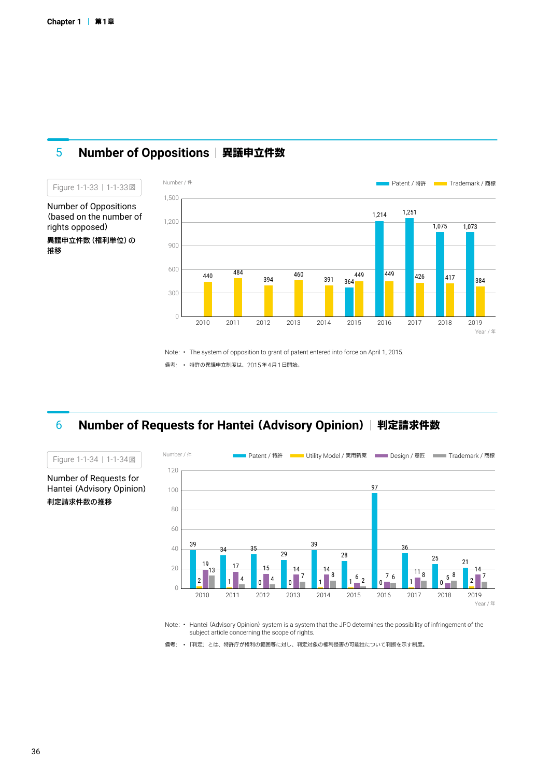

### **5 Number of Oppositions | 異議申立件数**

Note: • The system of opposition to grant of patent entered into force on April 1, 2015.

備考: • 特許の異議申立制度は、2015年4月1日開始。

### **Number of Requests for Hantei** (**Advisory Opinion**)判定請求件数



Note: • Hantei (Advisory Opinion) system is a system that the JPO determines the possibility of infringement of the subject article concerning the scope of rights.

備考: • 「判定」とは、特許庁が権利の範囲等に対し、判定対象の権利侵害の可能性について判断を示す制度。